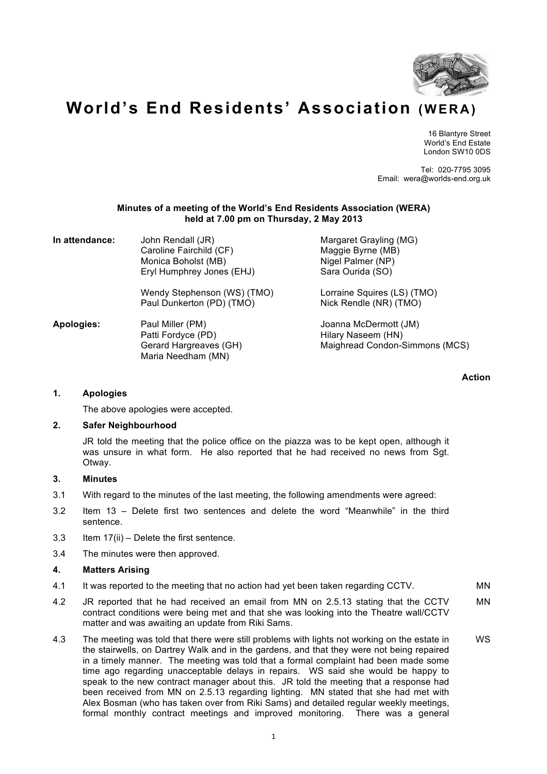

# **World's End Residents' Association (WERA)**

16 Blantyre Street World's End Estate London SW10 0DS

Tel: 020-7795 3095 Email: wera@worlds-end.org.uk

## **Minutes of a meeting of the World's End Residents Association (WERA) held at 7.00 pm on Thursday, 2 May 2013**

| In attendance:    | John Rendall (JR)<br>Caroline Fairchild (CF)<br>Monica Boholst (MB)<br>Eryl Humphrey Jones (EHJ) | Margaret Grayling (MG)<br>Maggie Byrne (MB)<br>Nigel Palmer (NP)<br>Sara Ourida (SO) |
|-------------------|--------------------------------------------------------------------------------------------------|--------------------------------------------------------------------------------------|
|                   | Wendy Stephenson (WS) (TMO)<br>Paul Dunkerton (PD) (TMO)                                         | Lorraine Squires (LS) (TMO)<br>Nick Rendle (NR) (TMO)                                |
| <b>Apologies:</b> | Paul Miller (PM)<br>Patti Fordyce (PD)<br>Gerard Hargreaves (GH)<br>Maria Needham (MN)           | Joanna McDermott (JM)<br>Hilary Naseem (HN)<br>Maighread Condon-Simmons (MCS)        |

**Action**

## **1. Apologies**

The above apologies were accepted.

## **2. Safer Neighbourhood**

JR told the meeting that the police office on the piazza was to be kept open, although it was unsure in what form. He also reported that he had received no news from Sgt. Otway.

# **3. Minutes**

- 3.1 With regard to the minutes of the last meeting, the following amendments were agreed:
- 3.2 Item 13 Delete first two sentences and delete the word "Meanwhile" in the third sentence.
- 3.3 Item 17(ii) Delete the first sentence.
- 3.4 The minutes were then approved.

## **4. Matters Arising**

- 4.1 It was reported to the meeting that no action had yet been taken regarding CCTV. MN
- 4.2 JR reported that he had received an email from MN on 2.5.13 stating that the CCTV contract conditions were being met and that she was looking into the Theatre wall/CCTV matter and was awaiting an update from Riki Sams. MN
- 4.3 The meeting was told that there were still problems with lights not working on the estate in the stairwells, on Dartrey Walk and in the gardens, and that they were not being repaired in a timely manner. The meeting was told that a formal complaint had been made some time ago regarding unacceptable delays in repairs. WS said she would be happy to speak to the new contract manager about this. JR told the meeting that a response had been received from MN on 2.5.13 regarding lighting. MN stated that she had met with Alex Bosman (who has taken over from Riki Sams) and detailed regular weekly meetings, formal monthly contract meetings and improved monitoring. There was a general WS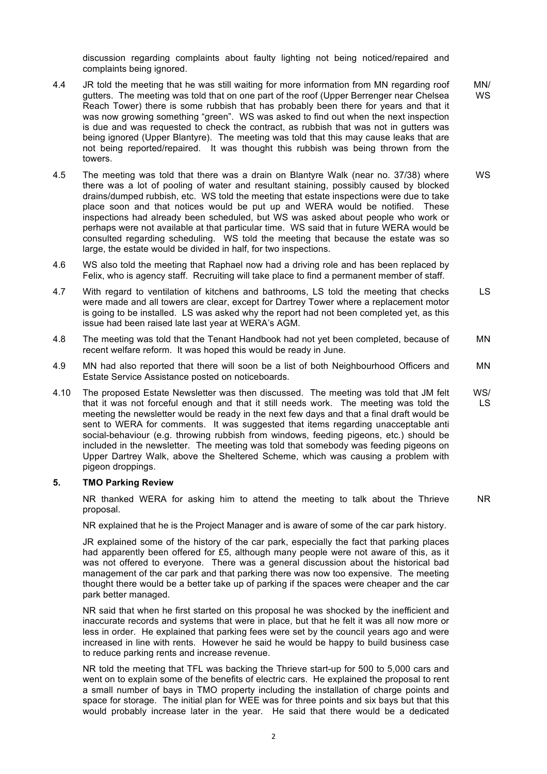discussion regarding complaints about faulty lighting not being noticed/repaired and complaints being ignored.

- 4.4 JR told the meeting that he was still waiting for more information from MN regarding roof gutters. The meeting was told that on one part of the roof (Upper Berrenger near Chelsea Reach Tower) there is some rubbish that has probably been there for years and that it was now growing something "green". WS was asked to find out when the next inspection is due and was requested to check the contract, as rubbish that was not in gutters was being ignored (Upper Blantyre). The meeting was told that this may cause leaks that are not being reported/repaired. It was thought this rubbish was being thrown from the towers. MN/ WS
- 4.5 The meeting was told that there was a drain on Blantyre Walk (near no. 37/38) where there was a lot of pooling of water and resultant staining, possibly caused by blocked drains/dumped rubbish, etc. WS told the meeting that estate inspections were due to take place soon and that notices would be put up and WERA would be notified. These inspections had already been scheduled, but WS was asked about people who work or perhaps were not available at that particular time. WS said that in future WERA would be consulted regarding scheduling. WS told the meeting that because the estate was so large, the estate would be divided in half, for two inspections. WS
- 4.6 WS also told the meeting that Raphael now had a driving role and has been replaced by Felix, who is agency staff. Recruiting will take place to find a permanent member of staff.
- 4.7 With regard to ventilation of kitchens and bathrooms, LS told the meeting that checks were made and all towers are clear, except for Dartrey Tower where a replacement motor is going to be installed. LS was asked why the report had not been completed yet, as this issue had been raised late last year at WERA's AGM. LS
- 4.8 The meeting was told that the Tenant Handbook had not yet been completed, because of recent welfare reform. It was hoped this would be ready in June. MN
- 4.9 MN had also reported that there will soon be a list of both Neighbourhood Officers and Estate Service Assistance posted on noticeboards. MN
- 4.10 The proposed Estate Newsletter was then discussed. The meeting was told that JM felt that it was not forceful enough and that it still needs work. The meeting was told the meeting the newsletter would be ready in the next few days and that a final draft would be sent to WERA for comments. It was suggested that items regarding unacceptable anti social-behaviour (e.g. throwing rubbish from windows, feeding pigeons, etc.) should be included in the newsletter. The meeting was told that somebody was feeding pigeons on Upper Dartrey Walk, above the Sheltered Scheme, which was causing a problem with pigeon droppings. WS/ LS

#### **5. TMO Parking Review**

NR thanked WERA for asking him to attend the meeting to talk about the Thrieve proposal. NR

NR explained that he is the Project Manager and is aware of some of the car park history.

JR explained some of the history of the car park, especially the fact that parking places had apparently been offered for £5, although many people were not aware of this, as it was not offered to everyone. There was a general discussion about the historical bad management of the car park and that parking there was now too expensive. The meeting thought there would be a better take up of parking if the spaces were cheaper and the car park better managed.

NR said that when he first started on this proposal he was shocked by the inefficient and inaccurate records and systems that were in place, but that he felt it was all now more or less in order. He explained that parking fees were set by the council years ago and were increased in line with rents. However he said he would be happy to build business case to reduce parking rents and increase revenue.

NR told the meeting that TFL was backing the Thrieve start-up for 500 to 5,000 cars and went on to explain some of the benefits of electric cars. He explained the proposal to rent a small number of bays in TMO property including the installation of charge points and space for storage. The initial plan for WEE was for three points and six bays but that this would probably increase later in the year. He said that there would be a dedicated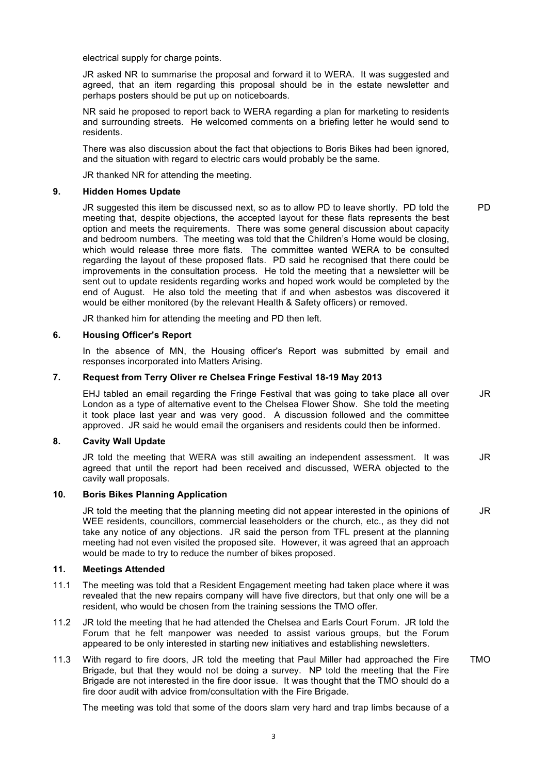electrical supply for charge points.

JR asked NR to summarise the proposal and forward it to WERA. It was suggested and agreed, that an item regarding this proposal should be in the estate newsletter and perhaps posters should be put up on noticeboards.

NR said he proposed to report back to WERA regarding a plan for marketing to residents and surrounding streets. He welcomed comments on a briefing letter he would send to residents.

There was also discussion about the fact that objections to Boris Bikes had been ignored, and the situation with regard to electric cars would probably be the same.

JR thanked NR for attending the meeting.

#### **9. Hidden Homes Update**

JR suggested this item be discussed next, so as to allow PD to leave shortly. PD told the meeting that, despite objections, the accepted layout for these flats represents the best option and meets the requirements. There was some general discussion about capacity and bedroom numbers. The meeting was told that the Children's Home would be closing, which would release three more flats. The committee wanted WERA to be consulted regarding the layout of these proposed flats. PD said he recognised that there could be improvements in the consultation process. He told the meeting that a newsletter will be sent out to update residents regarding works and hoped work would be completed by the end of August. He also told the meeting that if and when asbestos was discovered it would be either monitored (by the relevant Health & Safety officers) or removed. PD

JR thanked him for attending the meeting and PD then left.

#### **6. Housing Officer's Report**

In the absence of MN, the Housing officer's Report was submitted by email and responses incorporated into Matters Arising.

# **7. Request from Terry Oliver re Chelsea Fringe Festival 18-19 May 2013**

EHJ tabled an email regarding the Fringe Festival that was going to take place all over London as a type of alternative event to the Chelsea Flower Show. She told the meeting it took place last year and was very good. A discussion followed and the committee approved. JR said he would email the organisers and residents could then be informed. JR

# **8. Cavity Wall Update**

JR told the meeting that WERA was still awaiting an independent assessment. It was agreed that until the report had been received and discussed, WERA objected to the cavity wall proposals. JR

## **10. Boris Bikes Planning Application**

JR told the meeting that the planning meeting did not appear interested in the opinions of WEE residents, councillors, commercial leaseholders or the church, etc., as they did not take any notice of any objections. JR said the person from TFL present at the planning meeting had not even visited the proposed site. However, it was agreed that an approach would be made to try to reduce the number of bikes proposed. JR

#### **11. Meetings Attended**

- 11.1 The meeting was told that a Resident Engagement meeting had taken place where it was revealed that the new repairs company will have five directors, but that only one will be a resident, who would be chosen from the training sessions the TMO offer.
- 11.2 JR told the meeting that he had attended the Chelsea and Earls Court Forum. JR told the Forum that he felt manpower was needed to assist various groups, but the Forum appeared to be only interested in starting new initiatives and establishing newsletters.
- 11.3 With regard to fire doors, JR told the meeting that Paul Miller had approached the Fire Brigade, but that they would not be doing a survey. NP told the meeting that the Fire Brigade are not interested in the fire door issue. It was thought that the TMO should do a fire door audit with advice from/consultation with the Fire Brigade. TMO

The meeting was told that some of the doors slam very hard and trap limbs because of a